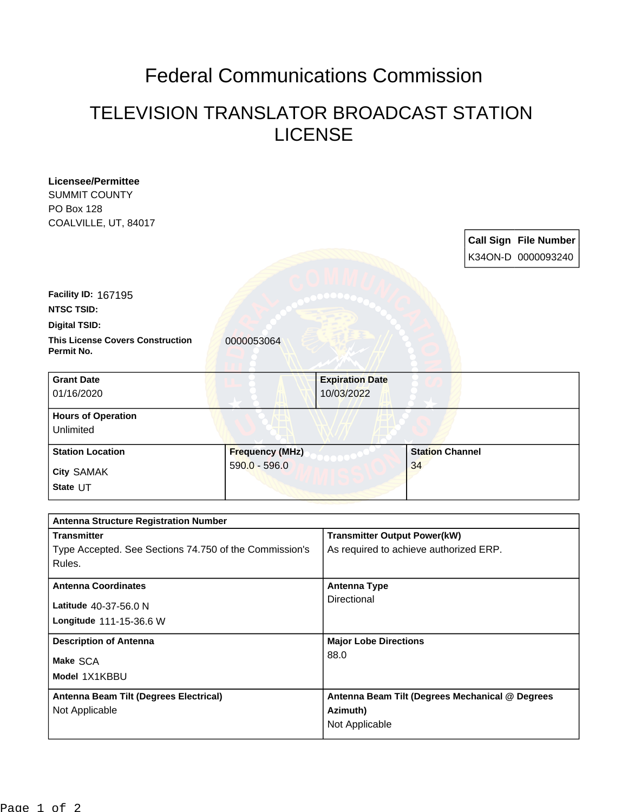## Federal Communications Commission

## TELEVISION TRANSLATOR BROADCAST STATION LICENSE

| <b>Licensee/Permittee</b><br><b>SUMMIT COUNTY</b>      |                        |                                                 |                        |  |                              |
|--------------------------------------------------------|------------------------|-------------------------------------------------|------------------------|--|------------------------------|
| <b>PO Box 128</b>                                      |                        |                                                 |                        |  |                              |
| COALVILLE, UT, 84017                                   |                        |                                                 |                        |  |                              |
|                                                        |                        |                                                 |                        |  | <b>Call Sign File Number</b> |
|                                                        |                        |                                                 |                        |  | K34ON-D 0000093240           |
|                                                        |                        |                                                 |                        |  |                              |
| Facility ID: 167195                                    |                        |                                                 |                        |  |                              |
| <b>NTSC TSID:</b>                                      |                        |                                                 |                        |  |                              |
| <b>Digital TSID:</b>                                   |                        |                                                 |                        |  |                              |
| <b>This License Covers Construction</b><br>Permit No.  | 0000053064             |                                                 |                        |  |                              |
| <b>Grant Date</b>                                      |                        | <b>Expiration Date</b>                          |                        |  |                              |
| 01/16/2020                                             |                        | 10/03/2022                                      |                        |  |                              |
| <b>Hours of Operation</b>                              |                        |                                                 |                        |  |                              |
| Unlimited                                              |                        |                                                 |                        |  |                              |
| <b>Station Location</b>                                | <b>Frequency (MHz)</b> |                                                 | <b>Station Channel</b> |  |                              |
| <b>City SAMAK</b>                                      | $590.0 - 596.0$        |                                                 | 34                     |  |                              |
| State UT                                               |                        |                                                 |                        |  |                              |
|                                                        |                        |                                                 |                        |  |                              |
| <b>Antenna Structure Registration Number</b>           |                        |                                                 |                        |  |                              |
| <b>Transmitter</b>                                     |                        | <b>Transmitter Output Power(kW)</b>             |                        |  |                              |
| Type Accepted. See Sections 74.750 of the Commission's |                        | As required to achieve authorized ERP.          |                        |  |                              |
| Rules.                                                 |                        |                                                 |                        |  |                              |
| <b>Antenna Coordinates</b>                             |                        | <b>Antenna Type</b>                             |                        |  |                              |
| Latitude 40-37-56.0 N                                  |                        | Directional                                     |                        |  |                              |
| Longitude 111-15-36.6 W                                |                        |                                                 |                        |  |                              |
| <b>Description of Antenna</b>                          |                        | <b>Major Lobe Directions</b>                    |                        |  |                              |
|                                                        |                        | 88.0                                            |                        |  |                              |
| Make SCA                                               |                        |                                                 |                        |  |                              |
| Model 1X1KBBU                                          |                        |                                                 |                        |  |                              |
| Antenna Beam Tilt (Degrees Electrical)                 |                        | Antenna Beam Tilt (Degrees Mechanical @ Degrees |                        |  |                              |
| Not Applicable                                         |                        | Azimuth)                                        |                        |  |                              |
|                                                        |                        | Not Applicable                                  |                        |  |                              |